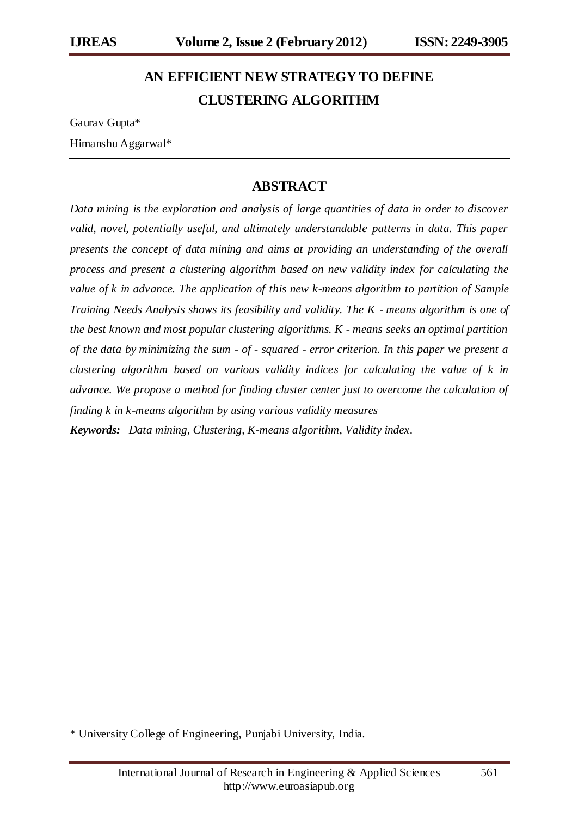# **AN EFFICIENT NEW STRATEGY TO DEFINE CLUSTERING ALGORITHM**

Gaurav Gupta\*

Himanshu Aggarwal\*

### **ABSTRACT**

*Data mining is the exploration and analysis of large quantities of data in order to discover valid, novel, potentially useful, and ultimately understandable patterns in data. This paper presents the concept of data mining and aims at providing an understanding of the overall process and present a clustering algorithm based on new validity index for calculating the value of k in advance. The application of this new k-means algorithm to partition of Sample Training Needs Analysis shows its feasibility and validity. The K - means algorithm is one of the best known and most popular clustering algorithms. K - means seeks an optimal partition of the data by minimizing the sum - of - squared - error criterion. In this paper we present a clustering algorithm based on various validity indices for calculating the value of k in advance. We propose a method for finding cluster center just to overcome the calculation of finding k in k-means algorithm by using various validity measures Keywords: Data mining, Clustering, K-means algorithm, Validity index.*

<sup>\*</sup> University College of Engineering, Punjabi University, India.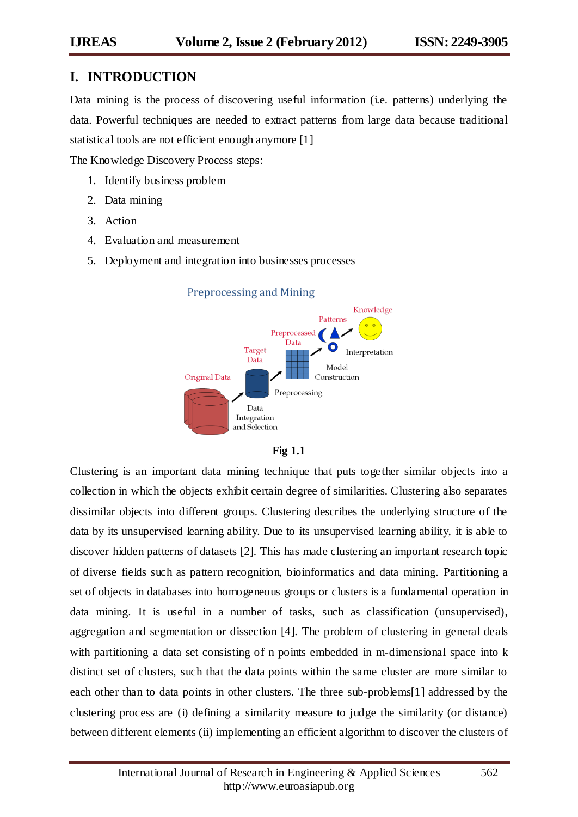### **I. INTRODUCTION**

Data mining is the process of discovering useful information (i.e. patterns) underlying the data. Powerful techniques are needed to extract patterns from large data because traditional statistical tools are not efficient enough anymore [1]

The Knowledge Discovery Process steps:

- 1. Identify business problem
- 2. Data mining
- 3. Action
- 4. Evaluation and measurement
- 5. Deployment and integration into businesses processes



#### **Preprocessing and Mining**



Clustering is an important data mining technique that puts together similar objects into a collection in which the objects exhibit certain degree of similarities. Clustering also separates dissimilar objects into different groups. Clustering describes the underlying structure of the data by its unsupervised learning ability. Due to its unsupervised learning ability, it is able to discover hidden patterns of datasets [2]. This has made clustering an important research topic of diverse fields such as pattern recognition, bioinformatics and data mining. Partitioning a set of objects in databases into homogeneous groups or clusters is a fundamental operation in data mining. It is useful in a number of tasks, such as classification (unsupervised), aggregation and segmentation or dissection [4]. The problem of clustering in general deals with partitioning a data set consisting of n points embedded in m-dimensional space into k distinct set of clusters, such that the data points within the same cluster are more similar to each other than to data points in other clusters. The three sub-problems[1] addressed by the clustering process are (i) defining a similarity measure to judge the similarity (or distance) between different elements (ii) implementing an efficient algorithm to discover the clusters of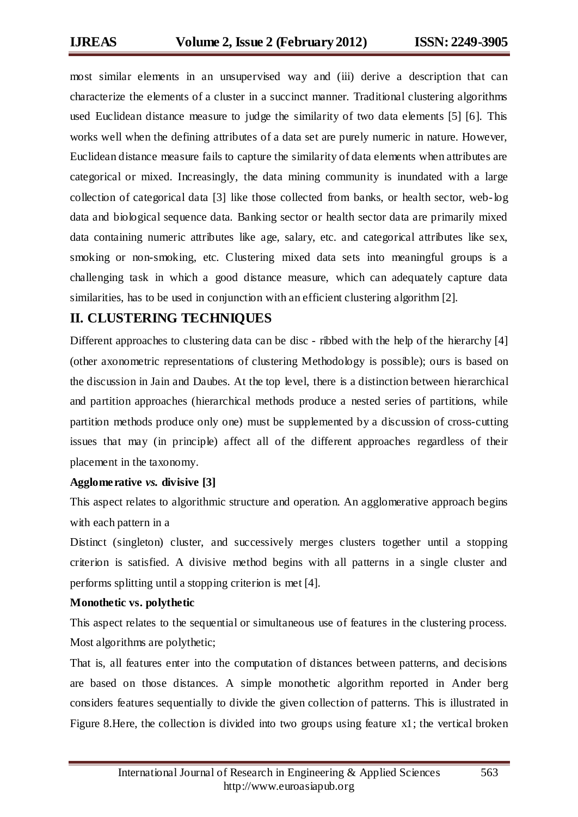most similar elements in an unsupervised way and (iii) derive a description that can characterize the elements of a cluster in a succinct manner. Traditional clustering algorithms used Euclidean distance measure to judge the similarity of two data elements [5] [6]. This works well when the defining attributes of a data set are purely numeric in nature. However, Euclidean distance measure fails to capture the similarity of data elements when attributes are categorical or mixed. Increasingly, the data mining community is inundated with a large collection of categorical data [3] like those collected from banks, or health sector, web-log data and biological sequence data. Banking sector or health sector data are primarily mixed data containing numeric attributes like age, salary, etc. and categorical attributes like sex, smoking or non-smoking, etc. Clustering mixed data sets into meaningful groups is a challenging task in which a good distance measure, which can adequately capture data similarities, has to be used in conjunction with an efficient clustering algorithm [2].

### **II. CLUSTERING TECHNIQUES**

Different approaches to clustering data can be disc - ribbed with the help of the hierarchy [4] (other axonometric representations of clustering Methodology is possible); ours is based on the discussion in Jain and Daubes. At the top level, there is a distinction between hierarchical and partition approaches (hierarchical methods produce a nested series of partitions, while partition methods produce only one) must be supplemented by a discussion of cross-cutting issues that may (in principle) affect all of the different approaches regardless of their placement in the taxonomy.

#### **Agglomerative** *vs.* **divisive [3]**

This aspect relates to algorithmic structure and operation. An agglomerative approach begins with each pattern in a

Distinct (singleton) cluster, and successively merges clusters together until a stopping criterion is satisfied. A divisive method begins with all patterns in a single cluster and performs splitting until a stopping criterion is met [4].

#### **Monothetic vs. polythetic**

This aspect relates to the sequential or simultaneous use of features in the clustering process. Most algorithms are polythetic;

That is, all features enter into the computation of distances between patterns, and decisions are based on those distances. A simple monothetic algorithm reported in Ander berg considers features sequentially to divide the given collection of patterns. This is illustrated in Figure 8.Here, the collection is divided into two groups using feature x1; the vertical broken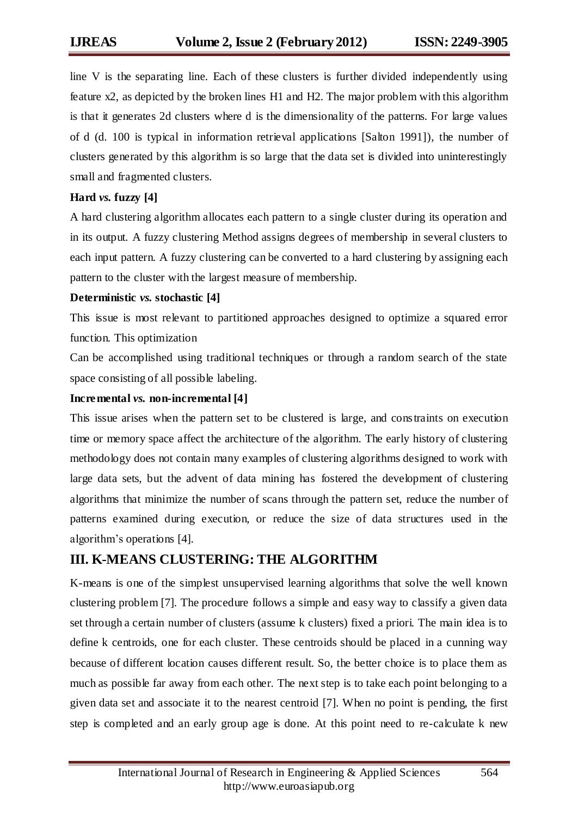line V is the separating line. Each of these clusters is further divided independently using feature x2, as depicted by the broken lines H1 and H2. The major problem with this algorithm is that it generates 2d clusters where d is the dimensionality of the patterns. For large values of d (d. 100 is typical in information retrieval applications [Salton 1991]), the number of clusters generated by this algorithm is so large that the data set is divided into uninterestingly small and fragmented clusters.

#### **Hard** *vs.* **fuzzy [4]**

A hard clustering algorithm allocates each pattern to a single cluster during its operation and in its output. A fuzzy clustering Method assigns degrees of membership in several clusters to each input pattern. A fuzzy clustering can be converted to a hard clustering by assigning each pattern to the cluster with the largest measure of membership.

#### **Deterministic** *vs.* **stochastic [4]**

This issue is most relevant to partitioned approaches designed to optimize a squared error function. This optimization

Can be accomplished using traditional techniques or through a random search of the state space consisting of all possible labeling.

#### **Incremental** *vs.* **non-incremental [4]**

This issue arises when the pattern set to be clustered is large, and constraints on execution time or memory space affect the architecture of the algorithm. The early history of clustering methodology does not contain many examples of clustering algorithms designed to work with large data sets, but the advent of data mining has fostered the development of clustering algorithms that minimize the number of scans through the pattern set, reduce the number of patterns examined during execution, or reduce the size of data structures used in the algorithm's operations [4].

### **III. K-MEANS CLUSTERING: THE ALGORITHM**

K-means is one of the simplest unsupervised learning algorithms that solve the well known clustering problem [7]. The procedure follows a simple and easy way to classify a given data set through a certain number of clusters (assume k clusters) fixed a priori. The main idea is to define k centroids, one for each cluster. These centroids should be placed in a cunning way because of different location causes different result. So, the better choice is to place them as much as possible far away from each other. The next step is to take each point belonging to a given data set and associate it to the nearest centroid [7]. When no point is pending, the first step is completed and an early group age is done. At this point need to re-calculate k new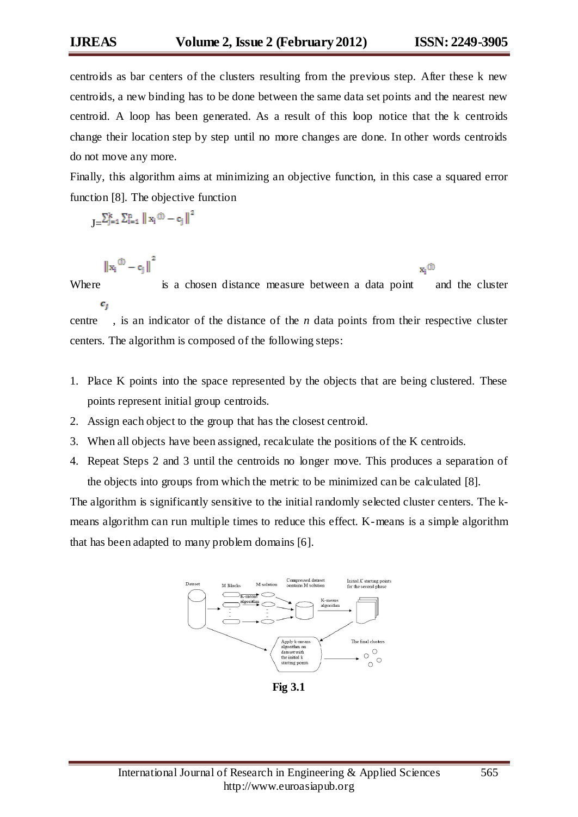centroids as bar centers of the clusters resulting from the previous step. After these k new centroids, a new binding has to be done between the same data set points and the nearest new centroid. A loop has been generated. As a result of this loop notice that the k centroids change their location step by step until no more changes are done. In other words centroids do not move any more.

Finally, this algorithm aims at minimizing an objective function, in this case a squared error function [8]. The objective function

$$
\textstyle \mathop{\textstyle \int}_{J=1}^k \sum_{i=1}^n \, \| \, x_i^{\,(j)} - c_j \, \|^2
$$

 $\left\Vert x_{i}\right\Vert ^{j)}-\varepsilon_{j}\left\Vert ^{2}\right\Vert ^{2}$  $\mathbf{x_i}^{(j)}$ Where is a chosen distance measure between a data point and the cluster  $c_j$ 

centre , is an indicator of the distance of the *n* data points from their respective cluster centers. The algorithm is composed of the following steps:

- 1. Place K points into the space represented by the objects that are being clustered. These points represent initial group centroids.
- 2. Assign each object to the group that has the closest centroid.
- 3. When all objects have been assigned, recalculate the positions of the K centroids.
- 4. Repeat Steps 2 and 3 until the centroids no longer move. This produces a separation of the objects into groups from which the metric to be minimized can be calculated [8].

The algorithm is significantly sensitive to the initial randomly selected cluster centers. The kmeans algorithm can run multiple times to reduce this effect. K-means is a simple algorithm that has been adapted to many problem domains [6].



International Journal of Research in Engineering & Applied Sciences 565 http://www.euroasiapub.org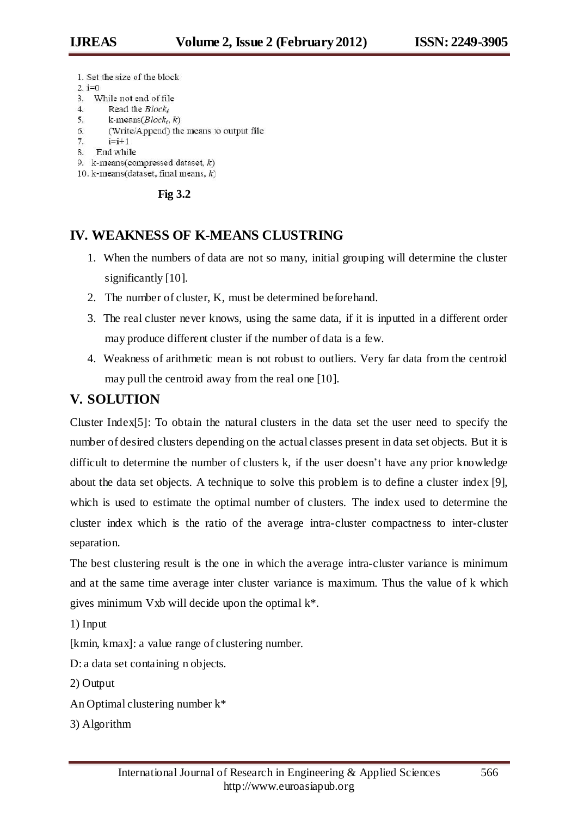- 1. Set the size of the block
- $2. i=0$
- 3. While not end of file
- $4.$ Read the Block<sub>i</sub>
- 5. k-means $(Block_i, k)$
- 6. (Write/Append) the means to output file
- 7.  $i=i+1$
- End while 8.
- 9. k-means(compressed dataset,  $k$ )
- 10. k-means(dataset, final means,  $k$ )

#### **Fig 3.2**

### **IV. WEAKNESS OF K-MEANS CLUSTRING**

- 1. When the numbers of data are not so many, initial grouping will determine the cluster significantly [10].
- 2. The number of cluster, K, must be determined beforehand.
- 3. The real cluster never knows, using the same data, if it is inputted in a different order may produce different cluster if the number of data is a few.
- 4. Weakness of arithmetic mean is not robust to outliers. Very far data from the centroid may pull the centroid away from the real one [10].

### **V. SOLUTION**

Cluster Index[5]: To obtain the natural clusters in the data set the user need to specify the number of desired clusters depending on the actual classes present in data set objects. But it is difficult to determine the number of clusters k, if the user doesn't have any prior knowledge about the data set objects. A technique to solve this problem is to define a cluster index [9], which is used to estimate the optimal number of clusters. The index used to determine the cluster index which is the ratio of the average intra-cluster compactness to inter-cluster separation.

The best clustering result is the one in which the average intra-cluster variance is minimum and at the same time average inter cluster variance is maximum. Thus the value of k which gives minimum Vxb will decide upon the optimal  $k^*$ .

1) Input

[kmin, kmax]: a value range of clustering number.

D: a data set containing n objects.

2) Output

- An Optimal clustering number k\*
- 3) Algorithm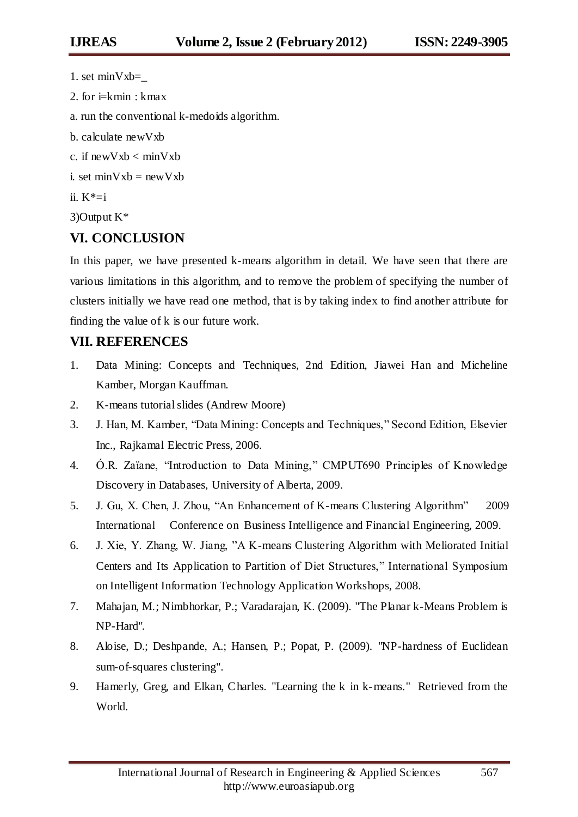- 1. set  $minVxb=$
- 2. for  $\equiv$ kmin : kmax
- a. run the conventional k-medoids algorithm.
- b. calculate newVxb
- c. if  $newVxb < minVxb$
- i. set  $minVxb = newVxb$

```
ii. K^* = i
```
3)Output K\*

# **VI. CONCLUSION**

In this paper, we have presented k-means algorithm in detail. We have seen that there are various limitations in this algorithm, and to remove the problem of specifying the number of clusters initially we have read one method, that is by taking index to find another attribute for finding the value of k is our future work.

## **VII. REFERENCES**

- 1. Data Mining: Concepts and Techniques, 2nd Edition, Jiawei Han and Micheline Kamber, Morgan Kauffman.
- 2. K-means tutorial slides (Andrew Moore)
- 3. J. Han, M. Kamber, "Data Mining: Concepts and Techniques," Second Edition, Elsevier Inc., Rajkamal Electric Press, 2006.
- 4. Ó.R. Zaïane, "Introduction to Data Mining," CMPUT690 Principles of Knowledge Discovery in Databases, University of Alberta, 2009.
- 5. J. Gu, X. Chen, J. Zhou, "An Enhancement of K-means Clustering Algorithm" 2009 International Conference on Business Intelligence and Financial Engineering, 2009.
- 6. J. Xie, Y. Zhang, W. Jiang, "A K-means Clustering Algorithm with Meliorated Initial Centers and Its Application to Partition of Diet Structures," International Symposium on Intelligent Information Technology Application Workshops, 2008.
- 7. Mahajan, M.; Nimbhorkar, P.; Varadarajan, K. (2009). "The Planar k-Means Problem is NP-Hard".
- 8. Aloise, D.; Deshpande, A.; Hansen, P.; Popat, P. (2009). "NP-hardness of Euclidean sum-of-squares clustering".
- 9. Hamerly, Greg, and Elkan, Charles. "Learning the k in k-means." Retrieved from the World.